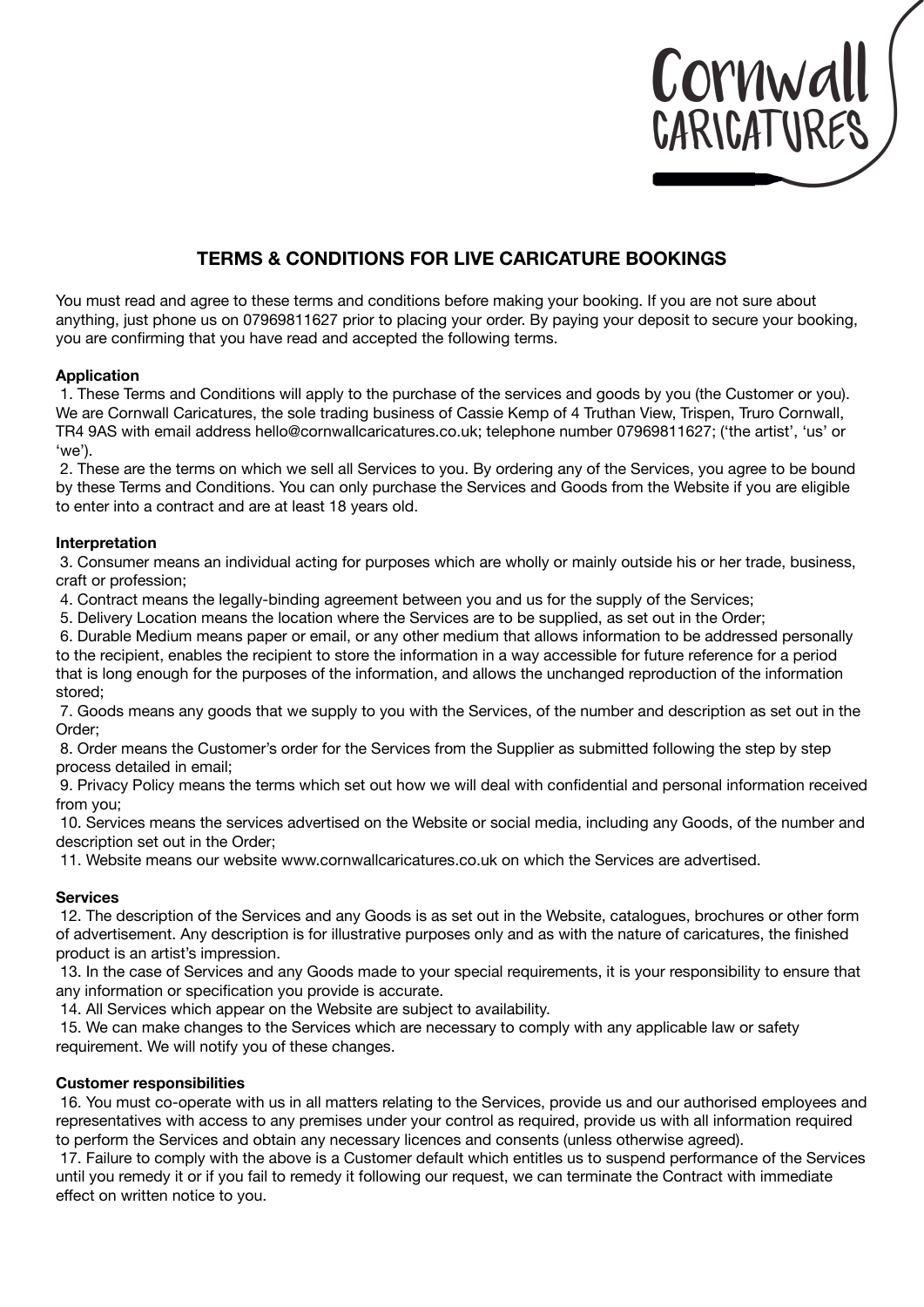

# **TERMS & CONDITIONS FOR LIVE CARICATURE BOOKINGS**

You must read and agree to these terms and conditions before making your booking. If you are not sure about anything, just phone us on 07969811627 prior to placing your order. By paying your deposit to secure your booking, you are confirming that you have read and accepted the following terms.

## **Application**

 1. These Terms and Conditions will apply to the purchase of the services and goods by you (the Customer or you). We are Cornwall Caricatures, the sole trading business of Cassie Kemp of 4 Truthan View, Trispen, Truro Cornwall, TR4 9AS with email address hello@cornwallcaricatures.co.uk; telephone number 07969811627; ('the artist', 'us' or 'we').

 2. These are the terms on which we sell all Services to you. By ordering any of the Services, you agree to be bound by these Terms and Conditions. You can only purchase the Services and Goods from the Website if you are eligible to enter into a contract and are at least 18 years old.

# **Interpretation**

 3. Consumer means an individual acting for purposes which are wholly or mainly outside his or her trade, business, craft or profession;

4. Contract means the legally-binding agreement between you and us for the supply of the Services;

5. Delivery Location means the location where the Services are to be supplied, as set out in the Order;

 6. Durable Medium means paper or email, or any other medium that allows information to be addressed personally to the recipient, enables the recipient to store the information in a way accessible for future reference for a period that is long enough for the purposes of the information, and allows the unchanged reproduction of the information stored;

 7. Goods means any goods that we supply to you with the Services, of the number and description as set out in the Order;

 8. Order means the Customer's order for the Services from the Supplier as submitted following the step by step process detailed in email;

 9. Privacy Policy means the terms which set out how we will deal with confidential and personal information received from you;

 10. Services means the services advertised on the Website or social media, including any Goods, of the number and description set out in the Order;

11. Website means our website www.cornwallcaricatures.co.uk on which the Services are advertised.

## **Services**

 12. The description of the Services and any Goods is as set out in the Website, catalogues, brochures or other form of advertisement. Any description is for illustrative purposes only and as with the nature of caricatures, the finished product is an artist's impression.

 13. In the case of Services and any Goods made to your special requirements, it is your responsibility to ensure that any information or specification you provide is accurate.

14. All Services which appear on the Website are subject to availability.

 15. We can make changes to the Services which are necessary to comply with any applicable law or safety requirement. We will notify you of these changes.

## **Customer responsibilities**

 16. You must co-operate with us in all matters relating to the Services, provide us and our authorised employees and representatives with access to any premises under your control as required, provide us with all information required to perform the Services and obtain any necessary licences and consents (unless otherwise agreed).

 17. Failure to comply with the above is a Customer default which entitles us to suspend performance of the Services until you remedy it or if you fail to remedy it following our request, we can terminate the Contract with immediate effect on written notice to you.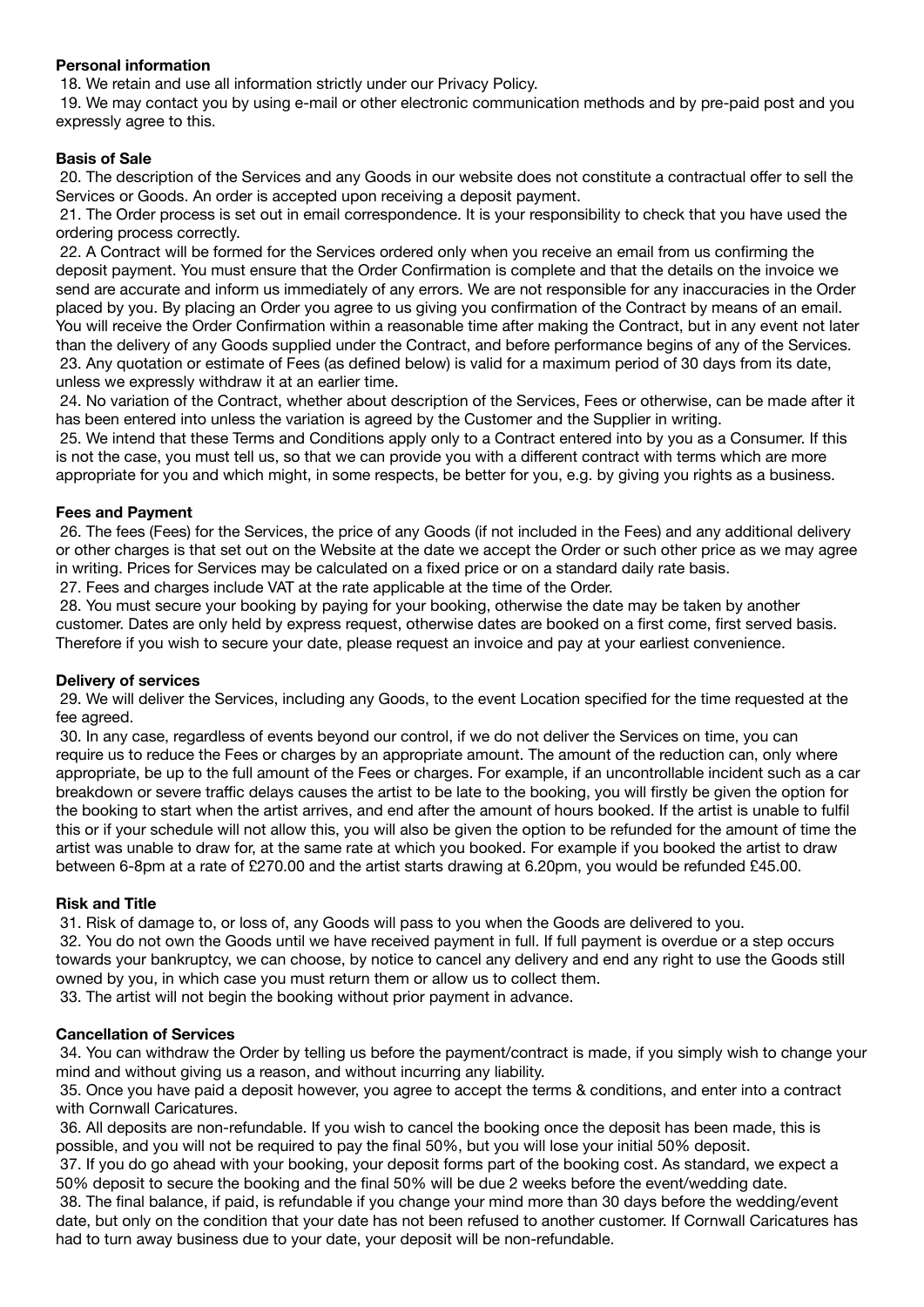## **Personal information**

18. We retain and use all information strictly under our Privacy Policy.

 19. We may contact you by using e-mail or other electronic communication methods and by pre-paid post and you expressly agree to this.

## **Basis of Sale**

 20. The description of the Services and any Goods in our website does not constitute a contractual offer to sell the Services or Goods. An order is accepted upon receiving a deposit payment.

 21. The Order process is set out in email correspondence. It is your responsibility to check that you have used the ordering process correctly.

 22. A Contract will be formed for the Services ordered only when you receive an email from us confirming the deposit payment. You must ensure that the Order Confirmation is complete and that the details on the invoice we send are accurate and inform us immediately of any errors. We are not responsible for any inaccuracies in the Order placed by you. By placing an Order you agree to us giving you confirmation of the Contract by means of an email. You will receive the Order Confirmation within a reasonable time after making the Contract, but in any event not later than the delivery of any Goods supplied under the Contract, and before performance begins of any of the Services. 23. Any quotation or estimate of Fees (as defined below) is valid for a maximum period of 30 days from its date, unless we expressly withdraw it at an earlier time.

 24. No variation of the Contract, whether about description of the Services, Fees or otherwise, can be made after it has been entered into unless the variation is agreed by the Customer and the Supplier in writing.

 25. We intend that these Terms and Conditions apply only to a Contract entered into by you as a Consumer. If this is not the case, you must tell us, so that we can provide you with a different contract with terms which are more appropriate for you and which might, in some respects, be better for you, e.g. by giving you rights as a business.

#### **Fees and Payment**

 26. The fees (Fees) for the Services, the price of any Goods (if not included in the Fees) and any additional delivery or other charges is that set out on the Website at the date we accept the Order or such other price as we may agree in writing. Prices for Services may be calculated on a fixed price or on a standard daily rate basis.

27. Fees and charges include VAT at the rate applicable at the time of the Order.

 28. You must secure your booking by paying for your booking, otherwise the date may be taken by another customer. Dates are only held by express request, otherwise dates are booked on a first come, first served basis. Therefore if you wish to secure your date, please request an invoice and pay at your earliest convenience.

#### **Delivery of services**

 29. We will deliver the Services, including any Goods, to the event Location specified for the time requested at the fee agreed.

 30. In any case, regardless of events beyond our control, if we do not deliver the Services on time, you can require us to reduce the Fees or charges by an appropriate amount. The amount of the reduction can, only where appropriate, be up to the full amount of the Fees or charges. For example, if an uncontrollable incident such as a car breakdown or severe traffic delays causes the artist to be late to the booking, you will firstly be given the option for the booking to start when the artist arrives, and end after the amount of hours booked. If the artist is unable to fulfil this or if your schedule will not allow this, you will also be given the option to be refunded for the amount of time the artist was unable to draw for, at the same rate at which you booked. For example if you booked the artist to draw between 6-8pm at a rate of £270.00 and the artist starts drawing at 6.20pm, you would be refunded £45.00.

## **Risk and Title**

31. Risk of damage to, or loss of, any Goods will pass to you when the Goods are delivered to you.

 32. You do not own the Goods until we have received payment in full. If full payment is overdue or a step occurs towards your bankruptcy, we can choose, by notice to cancel any delivery and end any right to use the Goods still owned by you, in which case you must return them or allow us to collect them.

33. The artist will not begin the booking without prior payment in advance.

# **Cancellation of Services**

 34. You can withdraw the Order by telling us before the payment/contract is made, if you simply wish to change your mind and without giving us a reason, and without incurring any liability.

 35. Once you have paid a deposit however, you agree to accept the terms & conditions, and enter into a contract with Cornwall Caricatures.

 36. All deposits are non-refundable. If you wish to cancel the booking once the deposit has been made, this is possible, and you will not be required to pay the final 50%, but you will lose your initial 50% deposit.

 37. If you do go ahead with your booking, your deposit forms part of the booking cost. As standard, we expect a 50% deposit to secure the booking and the final 50% will be due 2 weeks before the event/wedding date.

 38. The final balance, if paid, is refundable if you change your mind more than 30 days before the wedding/event date, but only on the condition that your date has not been refused to another customer. If Cornwall Caricatures has had to turn away business due to your date, your deposit will be non-refundable.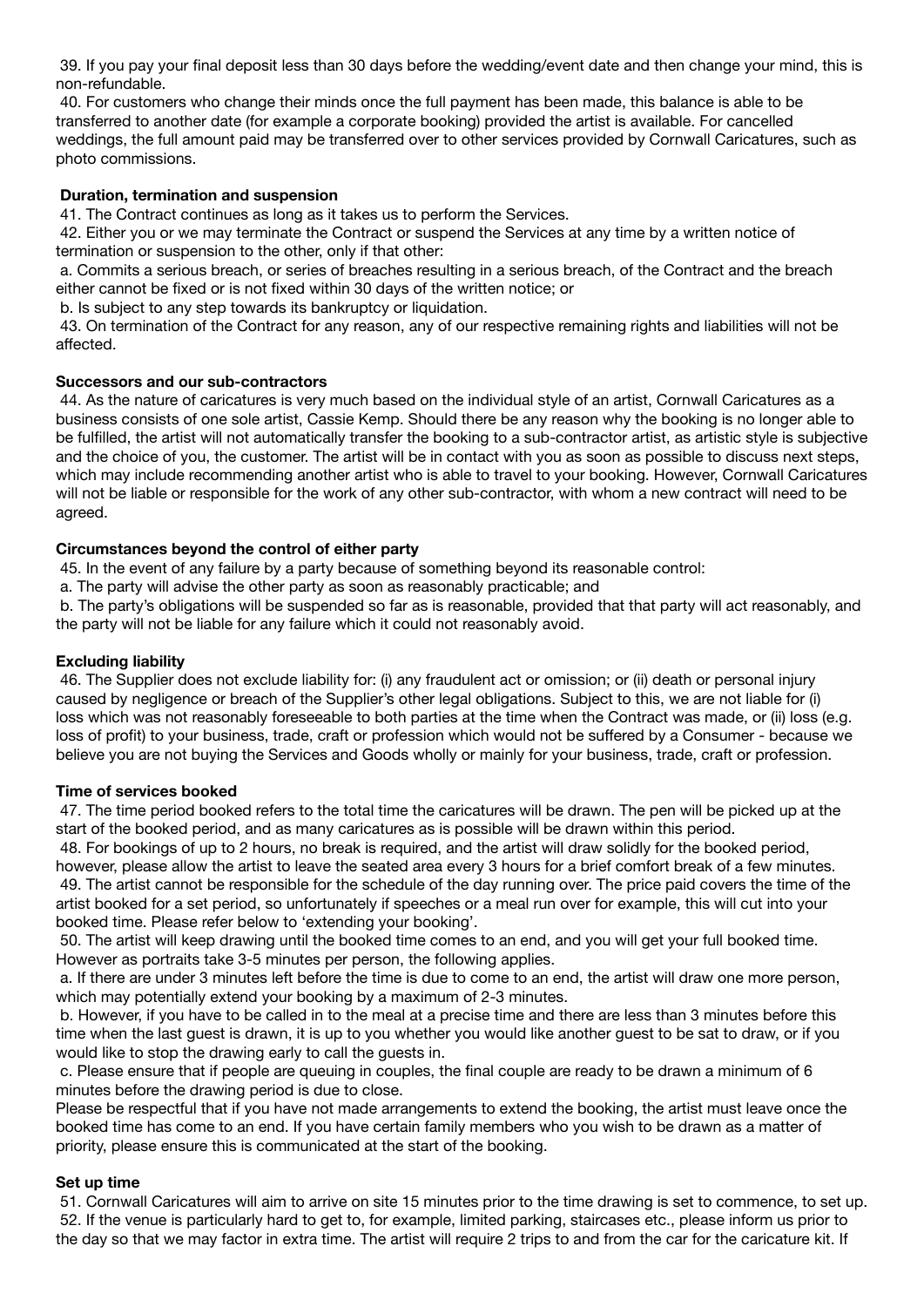39. If you pay your final deposit less than 30 days before the wedding/event date and then change your mind, this is non-refundable.

 40. For customers who change their minds once the full payment has been made, this balance is able to be transferred to another date (for example a corporate booking) provided the artist is available. For cancelled weddings, the full amount paid may be transferred over to other services provided by Cornwall Caricatures, such as photo commissions.

## **Duration, termination and suspension**

41. The Contract continues as long as it takes us to perform the Services.

 42. Either you or we may terminate the Contract or suspend the Services at any time by a written notice of termination or suspension to the other, only if that other:

 a. Commits a serious breach, or series of breaches resulting in a serious breach, of the Contract and the breach either cannot be fixed or is not fixed within 30 days of the written notice; or

b. Is subject to any step towards its bankruptcy or liquidation.

 43. On termination of the Contract for any reason, any of our respective remaining rights and liabilities will not be affected.

# **Successors and our sub-contractors**

 44. As the nature of caricatures is very much based on the individual style of an artist, Cornwall Caricatures as a business consists of one sole artist, Cassie Kemp. Should there be any reason why the booking is no longer able to be fulfilled, the artist will not automatically transfer the booking to a sub-contractor artist, as artistic style is subjective and the choice of you, the customer. The artist will be in contact with you as soon as possible to discuss next steps, which may include recommending another artist who is able to travel to your booking. However, Cornwall Caricatures will not be liable or responsible for the work of any other sub-contractor, with whom a new contract will need to be agreed.

# **Circumstances beyond the control of either party**

45. In the event of any failure by a party because of something beyond its reasonable control:

a. The party will advise the other party as soon as reasonably practicable; and

 b. The party's obligations will be suspended so far as is reasonable, provided that that party will act reasonably, and the party will not be liable for any failure which it could not reasonably avoid.

# **Excluding liability**

 46. The Supplier does not exclude liability for: (i) any fraudulent act or omission; or (ii) death or personal injury caused by negligence or breach of the Supplier's other legal obligations. Subject to this, we are not liable for (i) loss which was not reasonably foreseeable to both parties at the time when the Contract was made, or (ii) loss (e.g. loss of profit) to your business, trade, craft or profession which would not be suffered by a Consumer - because we believe you are not buying the Services and Goods wholly or mainly for your business, trade, craft or profession.

## **Time of services booked**

 47. The time period booked refers to the total time the caricatures will be drawn. The pen will be picked up at the start of the booked period, and as many caricatures as is possible will be drawn within this period.

 48. For bookings of up to 2 hours, no break is required, and the artist will draw solidly for the booked period, however, please allow the artist to leave the seated area every 3 hours for a brief comfort break of a few minutes. 49. The artist cannot be responsible for the schedule of the day running over. The price paid covers the time of the artist booked for a set period, so unfortunately if speeches or a meal run over for example, this will cut into your booked time. Please refer below to 'extending your booking'.

 50. The artist will keep drawing until the booked time comes to an end, and you will get your full booked time. However as portraits take 3-5 minutes per person, the following applies.

 a. If there are under 3 minutes left before the time is due to come to an end, the artist will draw one more person, which may potentially extend your booking by a maximum of 2-3 minutes.

 b. However, if you have to be called in to the meal at a precise time and there are less than 3 minutes before this time when the last guest is drawn, it is up to you whether you would like another guest to be sat to draw, or if you would like to stop the drawing early to call the guests in.

 c. Please ensure that if people are queuing in couples, the final couple are ready to be drawn a minimum of 6 minutes before the drawing period is due to close.

Please be respectful that if you have not made arrangements to extend the booking, the artist must leave once the booked time has come to an end. If you have certain family members who you wish to be drawn as a matter of priority, please ensure this is communicated at the start of the booking.

## **Set up time**

 51. Cornwall Caricatures will aim to arrive on site 15 minutes prior to the time drawing is set to commence, to set up. 52. If the venue is particularly hard to get to, for example, limited parking, staircases etc., please inform us prior to the day so that we may factor in extra time. The artist will require 2 trips to and from the car for the caricature kit. If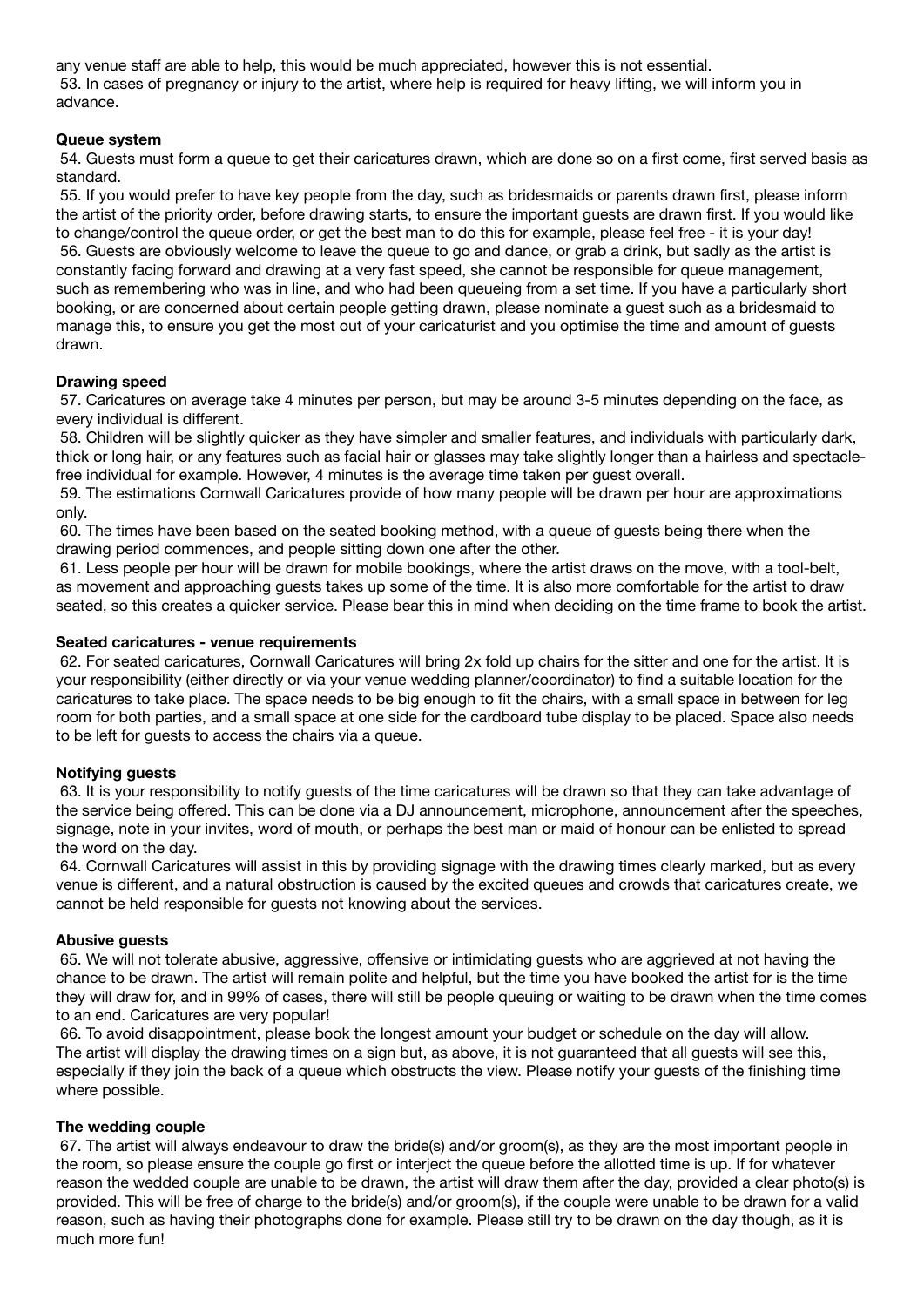any venue staff are able to help, this would be much appreciated, however this is not essential. 53. In cases of pregnancy or injury to the artist, where help is required for heavy lifting, we will inform you in advance.

## **Queue system**

 54. Guests must form a queue to get their caricatures drawn, which are done so on a first come, first served basis as standard.

 55. If you would prefer to have key people from the day, such as bridesmaids or parents drawn first, please inform the artist of the priority order, before drawing starts, to ensure the important guests are drawn first. If you would like to change/control the queue order, or get the best man to do this for example, please feel free - it is your day! 56. Guests are obviously welcome to leave the queue to go and dance, or grab a drink, but sadly as the artist is constantly facing forward and drawing at a very fast speed, she cannot be responsible for queue management, such as remembering who was in line, and who had been queueing from a set time. If you have a particularly short booking, or are concerned about certain people getting drawn, please nominate a guest such as a bridesmaid to manage this, to ensure you get the most out of your caricaturist and you optimise the time and amount of guests drawn.

#### **Drawing speed**

 57. Caricatures on average take 4 minutes per person, but may be around 3-5 minutes depending on the face, as every individual is different.

 58. Children will be slightly quicker as they have simpler and smaller features, and individuals with particularly dark, thick or long hair, or any features such as facial hair or glasses may take slightly longer than a hairless and spectaclefree individual for example. However, 4 minutes is the average time taken per guest overall.

 59. The estimations Cornwall Caricatures provide of how many people will be drawn per hour are approximations only.

 60. The times have been based on the seated booking method, with a queue of guests being there when the drawing period commences, and people sitting down one after the other.

 61. Less people per hour will be drawn for mobile bookings, where the artist draws on the move, with a tool-belt, as movement and approaching guests takes up some of the time. It is also more comfortable for the artist to draw seated, so this creates a quicker service. Please bear this in mind when deciding on the time frame to book the artist.

#### **Seated caricatures - venue requirements**

 62. For seated caricatures, Cornwall Caricatures will bring 2x fold up chairs for the sitter and one for the artist. It is your responsibility (either directly or via your venue wedding planner/coordinator) to find a suitable location for the caricatures to take place. The space needs to be big enough to fit the chairs, with a small space in between for leg room for both parties, and a small space at one side for the cardboard tube display to be placed. Space also needs to be left for guests to access the chairs via a queue.

## **Notifying guests**

 63. It is your responsibility to notify guests of the time caricatures will be drawn so that they can take advantage of the service being offered. This can be done via a DJ announcement, microphone, announcement after the speeches, signage, note in your invites, word of mouth, or perhaps the best man or maid of honour can be enlisted to spread the word on the day.

 64. Cornwall Caricatures will assist in this by providing signage with the drawing times clearly marked, but as every venue is different, and a natural obstruction is caused by the excited queues and crowds that caricatures create, we cannot be held responsible for guests not knowing about the services.

#### **Abusive guests**

 65. We will not tolerate abusive, aggressive, offensive or intimidating guests who are aggrieved at not having the chance to be drawn. The artist will remain polite and helpful, but the time you have booked the artist for is the time they will draw for, and in 99% of cases, there will still be people queuing or waiting to be drawn when the time comes to an end. Caricatures are very popular!

 66. To avoid disappointment, please book the longest amount your budget or schedule on the day will allow. The artist will display the drawing times on a sign but, as above, it is not guaranteed that all guests will see this, especially if they join the back of a queue which obstructs the view. Please notify your guests of the finishing time where possible.

#### **The wedding couple**

 67. The artist will always endeavour to draw the bride(s) and/or groom(s), as they are the most important people in the room, so please ensure the couple go first or interject the queue before the allotted time is up. If for whatever reason the wedded couple are unable to be drawn, the artist will draw them after the day, provided a clear photo(s) is provided. This will be free of charge to the bride(s) and/or groom(s), if the couple were unable to be drawn for a valid reason, such as having their photographs done for example. Please still try to be drawn on the day though, as it is much more fun!